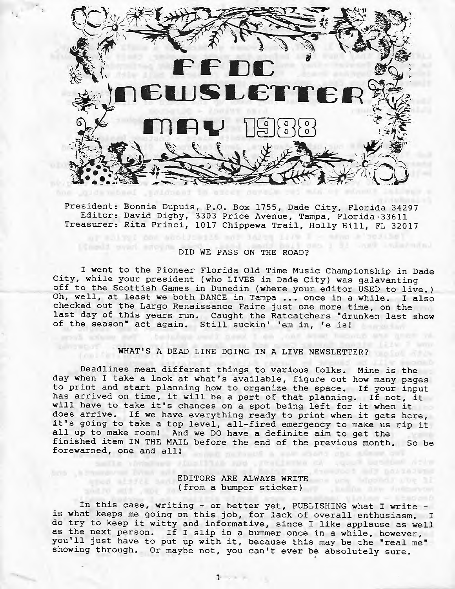

President: Bonnie Dupuis, P.O. Box 1755, Dade City, Florida 34297 Editor: David Digby, 3303 Price Avenue, Tampa, Florida-33611 Treasurer: Rita Princi, 1017 Chippewa Trail, Holly Hill, FL 32017

## DID WE PASS ON THE ROAD?

of allog: con abotication of loves inv I - who i selected

I went to the Pioneer Florida Old Time Music Championship in Dade City, while your president (who LIVES in Dade City) was galavanting off to the Scottish Games in Dunedin (where your editor USED to live.) Oh, well, at least we both DANCE in Tampa ... once in a while. I also checked out the Largo Renaissance Faire just one more time, on the last day of this years run. Caught the Ratcatchers •drunken last show of the season• act again. Still suckin' 'em in, 'e isl

## WHAT'S A DEAD LINE DOING **IN A** LIVE NEWSLETTER?

Deadlines mean different things to various folks. Mine is the day when I take a look at what's available, figure out how many pages to print and start planning how to organize the space. If your input has arrived on time, it will be a part of that planning. If not, it will have to take it's chances on a spot being left for it when it does arrive. If we have everything ready to print when it gets here, it's going to take a top level, all-fired emergency to make us rip it all up to make room! And we DO have a definite aim to get the finished item IN THE MAIL before the end of the previous month. So be forewarned, one and all!

### EDITORS ARE ALWAYS WRITE (from a bumper sticker) (and  $\frac{1}{2}$

alle vinature singlifies and presidence or comes besides side

In this case, writing - or better yet, PUBLISHING what I write - is what keeps me going on this job, for lack of overall enthusiasm. I do try to keep it witty and informative, since I like applause as well as the next person. If I slip in a bummer once in a while, however, you'll just have to put up with it, because this may be the "real me" showing through. Or maybe not, you can't ever be absolutely sure.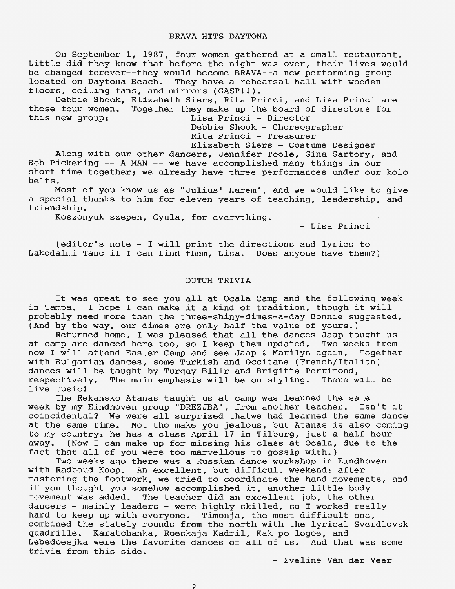#### BRAVA HITS DAYTONA

On September 1, 1987, four women gathered at a small restaurant. Little did they know that before the night was over, their lives would be changed forever--they would become BRAVA--a new performing group located on Daytona Beach. They have a rehearsal hall with wooden floors, ceiling fans, and mirrors (GASP!!).

Debbie Shook, Elizabeth Siers, Rita Princi, and Lisa Princi are these four women. Together they make up the board of directors for<br>this new group:<br>Lisa Princi - Director Lisa Princi - Director

Debbie Shook - Choreographer

Rita Princi - Treasurer

Elizabeth Siers - Costume Designer Along with our other dancers, Jennifer Toole, Gina Sartory, and Bob Pickering -- A MAN -- we have accomplished many things in our short time together; we already have three performances under our kolo belts.

Most of you know us as "Julius' Harem", and we would like to give a special thanks to him for eleven years of teaching, leadership, and friendship.

Koszonyuk szepen, Gyula, for everything.

- Lisa Princi

(editor's note - I will print the directions and lyrics to Lakodalmi Tanc if I can find them, Lisa. Does anyone have them?)

#### DUTCH TRIVIA

It was great to see you all at Ocala Camp and the following week in Tampa. I hope I can make it a kind of tradition, though it will probably need more than the three-shiny-dimes-a-day Bonnie suggested. (And by the way, our dimes are only half the value of yours.)

Returned home, I was pleased that all the dances Jaap taught us at camp are danced here too, so I keep them updated. Two weeks from now I will attend Easter Camp and see Jaap & Marilyn again. Together with Bulgarian dances, some Turkish and Occitane (French/Italian) dances will be taught by Turgay Bilir and Brigitte Perrimond, respectively. The main emphasis will be on styling. There will be live music!

The Rekansko Atanas taught us at camp was learned the same week by my Eindhoven group "DREZJBA", from another teacher. Isn't it coincidental? We were all surprized thatwe had learned the same dance at the same time. Not tho make you jealous, but Atanas is also coming to my country: he has a class April 17 in Tilburg, just a half hour away. (Now I can make up for missing his class at Ocala, due to the fact that all of you were too marvellous to gossip with.)

Two weeks ago there was a Russian dance workshop in Eindhoven with Radboud Koop. An excellent, but difficult weekend: after mastering the footwork, we tried to coordinate the hand movements, and if you thought you somehow accomplished it, another little body movement was added. The teacher did an excellent job, the other dancers - mainly leaders - were highly skilled, so I worked really hard to keep up with everyone. Timonja, the most difficult one, combined the stately rounds from the north with the lyrical Sverdlovsk quadrille. Karatchanka, Roeskaja Kadril, Kak po logoe, and Lebedoesjka were the favorite dances of all of us. And that was some trivia from this side.

- Eveline Van der Veer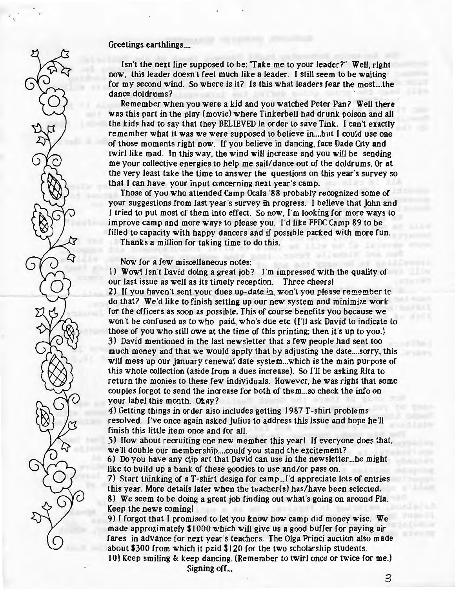#### Greetings earthlings....

Isn't the next line supposed to be: 'Take me to your leader?" Well, right now, this leader doesn't feel much like a leader. I still seem to be waiting for my second wind. So where is it? Is this what leaders fear the most. ... the dance doldrums?

Remember when you were a kid and you watched Peter Pan? Well there was this part in the play (movie) where Tinkerbell had drunk poison and all the kids had to say that they BELIEVED in order to save Tink. I can't exactly remember what it was we were supposed to believe in .... but I could use one of those moments right now. If you believe in dancing, face Dade City and twirl like mad. In this way, the wind will increase and you will be sending me your collective energies to help me sail/dance out of the doldrums. Or at the very least take the time to answer the questions on this year's survey so that I can have your input concerning next year's camp.

Those of you who attended Camp Ocala '88 probably recognized some of your suggestions from last year's survey fn progress. I believe that John and I tried to put most of them into effect. So now, I'm looking for more ways to improve camp and more ways to please you. I'd like FFDC Camp 89 to be filled to capacity with happy dancers and if possible packed with more fun.

Thanks a million for taking time to do this.

Now for a few miscellaneous notes:

 $\bigcap$ 

1) Wowl Isn't David doing a great job? I'm impressed with the quality of our last issue as well as its timely reception. Three cheers! 2) If you haven't sent your dues up-date in, won't you please remember to do that? We'd like to finish setting up our new system and minimize work for the officers as soon as possible. This of course benefits you because we won't be confused as to who paid, who's due etc. (I'll ask David to indicate to those of you who still owe at the time of this printing; then it's up to you.) 3) David mentioned in the last newsletter that a few people had sent too much money and that we would apply that by adjusting the date .... sorry, this will mess up our January renewal date system ... which is the main purpose of this whole collection (aside from a dues increase). So I'll be asking Rita to return the monies to these few individuals. However, he was right that some couples forgot to send the increase for both of them ... so check the info on your label this month. Okay?

4) Getting things in order also includes getting 1987 T-shirt problems resolved. I've once again asked Julius to address this issue and hope he'll finish this little item once and for all.

5) How about recruiting one new member this year! If everyone does that, we'll double our membership....could you stand the excitement?

6) Do you have any clip art that David can use in the newsletter ... he might like to build up a bank of these goodies to use and/or pass on.

7) Start thinking of a T-shirt design for camp...I'd appreciate lots of entries this year. More details later when the teacher(s) has/have been selected.

8) We seem to be doing a great job finding out what's going on around Fla. Keep the news coming!

9) I forgot that I promised to let you know how camp did money wise.- We made approximately \$1000 which will give us a good buffer for paying air fares in advance for next year's teachers. The Olga Princi auction also made about \$300 from which it paid \$120 for the two scholarship students.

10) Keep smiling & keep dancing. (Remember to twirl once or twice for me.) Signing off...

3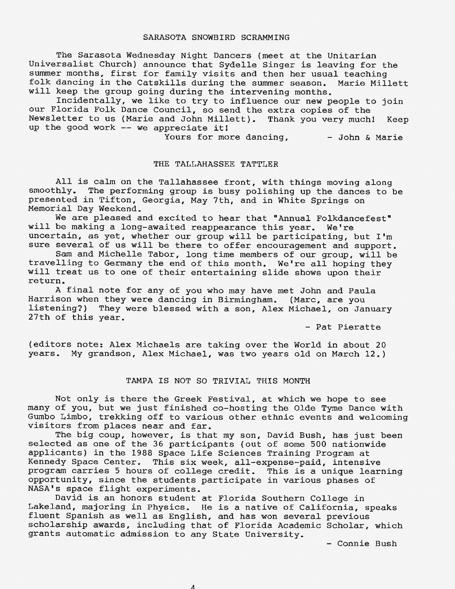#### SARASOTA SNOWBIRD SCRAMMING

The Sarasota Wednesday Night Dancers (meet at the Unitarian Universalist Church) announce that Sydelle Singer is leaving for the summer months, first for family visits and then her usual teaching folk dancing in the Catskills during the summer season. Marie Millett will keep the group going during the intervening months.

Incidentally, we like to try to influence our new people to join our Florida Folk Dance Council, so send the extra copies of the Newsletter to us (Marie and John Millett). Thank you very much! Keep up the good work -- we appreciate it!

Yours for more dancing,  $-$  John & Marie

#### THE TALLAHASSEE TATTLER

All is calm on the Tallahassee front, with things moving along smoothly. The performing group is busy polishing up the dances to be presented in Tifton, Georgia, May 7th, and in White Springs on Memorial Day Weekend.

We are pleased and excited to hear that "Annual Folkdancefest" will be making a long-awaited reappearance this year. We're uncertain, as yet, whether our group will be participating, but I'm sure several of us will be there to offer encouragement and support.

Sam and Michelle Tabor, long time members of our group, will be travelling to Germany the end of this month. We're all hoping they will treat us to one of their entertaining slide shows upon their return.

A final note for any of you who may have met John and Paula Harrison when they were dancing in Birmingham. (Marc, are you listening?) They were blessed with a son, Alex Michael, on January 27th of this year.

- Pat Pieratte

(editors note: Alex Michaels are taking over the World in about 20 years. My grandson, Alex Michael, was two years old on March 12.)

#### TAMPA IS NOT SO TRIVIAL THIS MONTH

Not only is there the Greek Festival, at which we hope to see many of you, but we just finished co-hosting the Olde Tyme Dance with Gumbo Limbo, trekking off to various other ethnic events and welcoming visitors from places near and far.

The big coup, however, is that my son, David Bush, has just been selected as one of the 36 participants (out of some 500 nationwide applicants) in the 1988 Space Life Sciences Training Program at Kennedy Space Center. This six week, all-expense-paid, intensive program carries 5 hours of college credit. This is a unique learning opportunity, since the students participate in various phases of **NASA's** space flight experiments.

David is an honors student at Florida Southern College in Lakeland, majoring in Physics. He is a native of California, speaks fluent Spanish as well as English, and has won several previous scholarship awards, including that of Florida Academic Scholar, which grants automatic admission to any State University.

- Connie Bush

 $\boldsymbol{\Lambda}$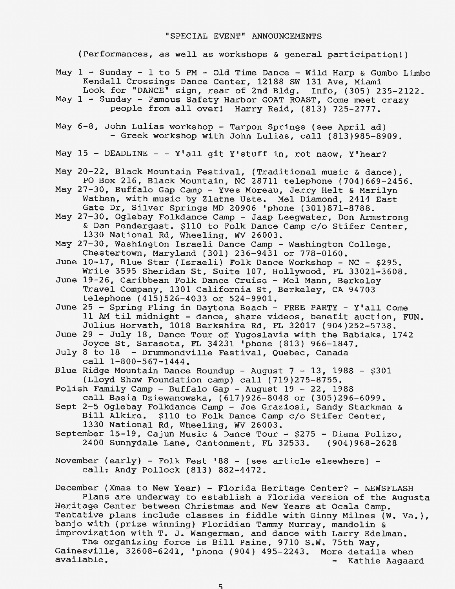(Performances, as well as workshops & general participation!)

- May  $1$  Sunday  $1$  to 5 PM Old Time Dance Wild Harp & Gumbo Limbo Kendall Crossings Dance Center, 12188 SW 131 Ave, Miami Look for "DANCE" sign, rear of 2nd Bldg. Info, (305) 235-2122.
- May 1 Sunday Famous Safety Harbor GOAT ROAST, Come meet crazy people from all over! Harry Reid, (813) 725-2777.
- May 6-8, John Lulias workshop Tarpon Springs (see April ad) - Greek workshop with John Lulias, call (813)985-8909.
- May 15 DEADLINE - Y'all git Y'stuff in, rot naow, Y'hear?
- May 20-22, Black Mountain Festival, (Traditional music & dance), PO Box 216, Black Mountain, NC 28711 telephone (704)669-2456.
- May 27-30, Buffalo Gap Camp Yves Moreau, Jerry Helt & Marilyn Wathen, with music by Zlatne Uste. Mel Diamond, 2414 East Gate Dr, Silver Springs MD 20906 'phone (301)871-8788.
- May 27-30, Oglebay Folkdance Camp Jaap Leegwater, Don Armstrong & Dan Pendergast. \$110 to Folk Dance Camp c/o Stifer Center, 1330 National Rd, Wheeling, WV 26003.
- May 27-30, Washington Israeli Dance Camp Washington College, Chestertown, Maryland (301) 236-9431 or 778-0160.
- June 10-17, Blue Star (Israeli) Folk Dance Workshop NC \$295. Write 3595 Sheridan St, Suite 107, Hollywood, FL 33021-3608.
- June 19-26, Caribbean Folk Dance Cruise Mel Mann, Berkeley Travel Company, 1301 California St, Berkeley, CA 94703 telephone (415)526-4033 or 524-9901.
- June 25 Spring Fling in Daytona Beach FREE PARTY Y'all Come 11 AM *til* midnight - dance, share videos, benefit auction, FUN. Julius Horvath, 1018 Berkshire Rd, FL 32017 (904)252-5738.
- June 29 July 18, Dance Tour of Yugoslavia with the Babiaks, 1742 Joyce St, Sarasota, FL 34231 'phone (813) 966-1847.
- July 8 to 18 Drummondville Festival, Quebec, Canada call 1-800-567-1444.
- Blue Ridge Mountain Dance Roundup August 7 13, 1988 \$301 (Lloyd Shaw Foundation camp) call (719)275-8755.
- Polish Family Camp Buffalo Gap August 19 22, 1988 call Basia Dziewanowska, (617)926-8048 or (305)296-6099.
- Sept 2-5 Oglebay Folkdance Camp Joe Graziosi, Sandy Starkman & Bill Alkire. \$110 to Folk Dance Camp c/o Stifer Center, 1330 National Rd, Wheeling, WV 26003.
- September 15-19, Cajun Music & Dance Tour  $$275$  Diana Polizo, 2400 Sunnydale Lane, Cantonment, FL 32533. (904)968-2628

November (early) - Folk Fest '88 - (see article elsewhere) call: Andy Pollock (813) 882-4472.

December (Xmas to New Year) - Florida Heritage Center? - NEWSFLASH Plans are underway to establish a Florida version of the Augusta Heritage Center between Christmas and New Years at Ocala Camp. Tentative plans include classes in fiddle with Ginny Milnes (W. Va.), banjo with (prize winning) Floridian Tammy Murray, mandolin & improvization with T. J. Wangerman, and dance with Larry Edelman.

The organizing force is Bill Paine, 9710 s.w. 75th Way, Gainesville, 32608-6241, 'phone (904) 495-2243. More details when admosvimis, siyoo yiri, phone (504) 455 2245. Hore decaris when<br>available. - Kathie Aagaard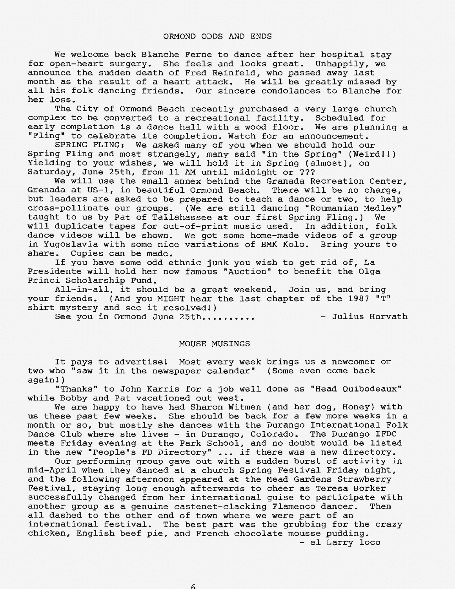We welcome back Blanche Ferne to dance after her hospital stay for open-heart surgery. She feels and looks great. Unhappily, we announce the sudden death of Fred Reinfeld, who passed away last month as the result of a heart attack. He will be greatly missed by all his folk dancing friends. Our sincere condolances to Blanche for her loss.

The City of Ormond Beach recently purchased a very large church complex to be converted to a recreational facility. Scheduled for<br>early completion is a dance hall with a wood floor. We are planning a early completion is a dance hall with a wood floor. "Fling" to celebrate its completion. Watch for an announcement.

SPRING FLING: We asked many of you when we should hold our Spring Fling and most strangely, many said "in the Spring" (Weird!!) Yielding to your wishes, we will hold it in Spring (almost), on Saturday, June 25th, from 11 AM until midnight or ???

We will use the small annex behind the Granada Recreation Center, Grenada at US-1, in beautiful Ormond Beach. There will be no charge, but leaders are asked to be prepared to teach a dance or two, to help cross-pollinate our groups. (We are still dancing "Roumanian Medley"<br>taught to us by Pat of Tallahassee at our first Spring Fling.) We taught to us by Pat of Tallahassee at our first Spring Fling.) will duplicate tapes for out-of-print music used. In addition, folk dance videos will be shown. We got some home-made videos of a group in Yugoslavia with some nice variations of BMK Kolo. Bring yours to share. Copies can be made.

If you have some odd ethnic junk you wish to get rid of, La Presidente will hold her now famous "Auction" to benefit the Olga Princi Scholarship Fund.

All-in-all, it should be a great weekend. Join us, and bring your friends. (And you MIGHT hear the last chapter of the 1987 "T" shirt mystery and see it resolved!)

See you in Ormond June 25th.......... - Julius Horvath

#### MOUSE MUSINGS

It pays to advertise! Most every week brings us a newcomer or two who "saw it in the newspaper calendar" (Some even come back again!)

"Thanks" to John Karris for a job well done as "Head Quibodeaux" while Bobby and Pat vacationed out west.

We are happy to have had Sharon Witmen (and her dog, Honey) with us these past few weeks. She should be back for a few more weeks in a month or so, but mostly she dances with the Durango International Folk Dance Club where she lives - in Durango, Colorado. The Durango IFDC meets Friday evening at the Park School, and no doubt would be listed in the new "People's FD Directory" ... if there was a new directory.

Our performing group gave out with a sudden burst of activity in mid-April when they danced at a church Spring Festival Friday night, and the following afternoon appeared at the Mead Gardens Strawberry Festival, staying long enough afterwards to cheer as Teresa Borker successfully changed from her international guise to participate with another group as a genuine castenet-clacking Flamenco dancer. Then all dashed to the other end of town where we were part of an international festival. The best part was the grubbing for the crazy chicken, English beef pie, and French chocolate mousse pudding. - el Larry loco

6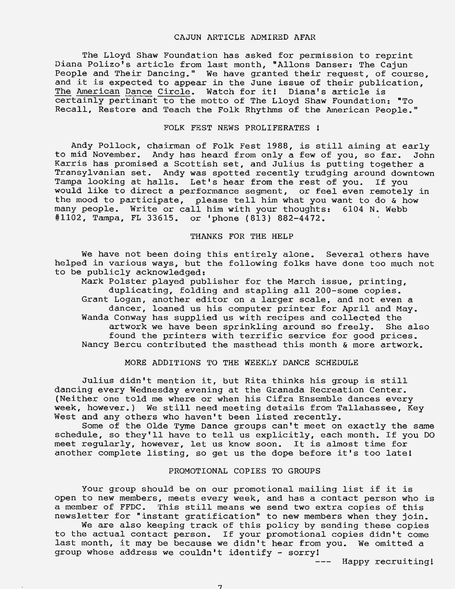#### CAJUN ARTICLE ADMIRED AFAR

The Lloyd Shaw Foundation has asked for permission to reprint Diana Polizo's article from last month, "Allons Danser: The Cajun People and Their Dancing." We have granted their request, of course, and it is expected to appear in the June issue of their publication, The American Dance Circle. Watch for it! Diana's article is certainly pertinant to the motto of The Lloyd Shaw Foundation: "To Recall, Restore and Teach the Folk Rhythms of the American People."

#### FOLK FEST NEWS PROLIFERATES !

Andy Pollock, chairman of Folk Fest 1988, is still aiming at early<br>mid November. Andy has heard from only a few of you, so far. John to mid November. Andy has heard from only a few of you, so far. Karris has promised a Scottish set, and Julius is putting together a Transylvanian set. Andy was spotted recently trudging around downtown Tampa looking at halls. Let's hear from the rest of you. If you would like to direct a performance segment, or feel even remotely in the mood to participate, please tell him what you want to do & how many people. Write or call him with your thoughts: 6104 N. Webb #1102, Tampa, FL 33615. or 'phone (813) 882-4472.

#### THANKS FOR THE HELP

We have not been doing this entirely alone. Several others have helped in various ways, but the following folks have done too much not to be publicly acknowledged:

Mark Polster played publisher for the March issue, printing, duplicating, folding and stapling all 200-some copies. Grant Logan, another editor on a larger scale, and not even a dancer, loaned us his computer printer for April and May. Wanda Conway has supplied us with recipes and collected the artwork we have been sprinkling around so freely. She also found the printers with terrific service for good prices. Nancy Bercu contributed the masthead this month & more artwork.

#### MORE ADDITIONS TO THE WEEKLY DANCE SCHEDULE

Julius didn't mention it, but Rita thinks his group is still dancing every Wednesday evening at the Granada Recreation Center. (Neither one told me where or when his Cifra Ensemble dances every week, however.) We still need meeting details from Tallahassee, Key West and any others who haven't been listed recently.

Some of the Olde Tyme Dance groups can't meet on exactly the same schedule, so they'll have to tell us explicitly, each month. If you DO meet regularly, however, let us know soon. It is almost time for another complete listing, so get us the dope before it's too late!

#### PROMOTIONAL COPIES TO GROUPS

Your group should be on our promotional mailing list if it is open to new members, meets every week, and has a contact person who is a member of FFDC. This still means we send two extra copies of this newsletter for "instant gratification" to new members when they join.

We are also keeping track of this policy by sending these copies to the actual contact person. If your promotional copies didn't come last month, it may be because we didn't hear from you. We omitted a group whose address we couldn't identify - sorry!

> Happy recruiting!  $-$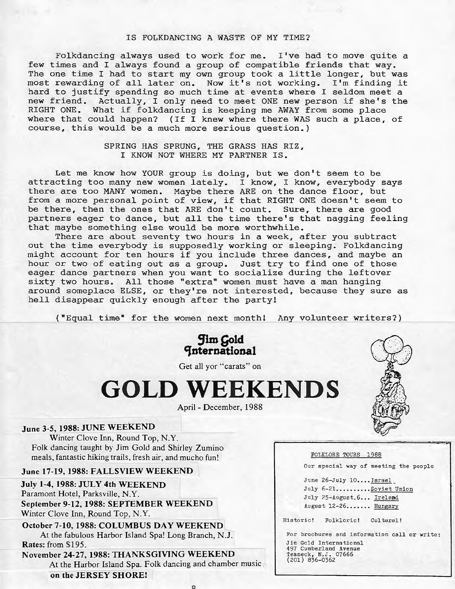#### IS FOLKDANCING A WASTE OF MY TIME?

Folkdancing always used to work for me. I've had to move quite a few times and I always found a group of compatible friends that way. The one time I had to start my own group took a little longer, but was most rewarding of all later on. Now it's not working. I'm finding it hard to justify spending so much time at events where I seldom meet a new friend. Actually, I only need to meet ONE new person if she's the RIGHT ONE. What if folkdancing is keeping me AWAY from some place where that could happen? (If I knew where there WAS such a place, of course, this would be a much more serious question.)

#### SPRING HAS SPRUNG, THE GRASS HAS RIZ, I KNOW NOT WHERE MY PARTNER IS .

Let me know how YOUR group is doing, but we don't seem to be attracting too many new women lately. I know, I know, everybody says there are too MANY women. Maybe there ARE on the dance floor, but there are too mani women. Maybe there ake on the dance floor, but<br>from a more personal point of view, if that RIGHT ONE doesn't seem to be there, then the ones that ARE don't count. Sure, there are good partners eager to dance, but all the time there's that nagging feeling that maybe something else would be more worthwhile.

There are about seventy two hours in a week, after you subtract out the time everybody is supposedly working or sleeping. Folkdancing might account for ten hours if you include three dances, and maybe an hour or two of eating out as a group. Just try to find one of those eager dance partners when you want to socialize during the leftover sixty two hours. All those "extra" women must have a man hanging around someplace ELSE, or they're not interested, because they sure as hell disappear quickly enough after the party!

("Equal time" for the women next month! Any volunteer writers?)

**Jim Gold CJnternatlonal** 

Get all yor "carats" on

# **GOLD WEEKENDS**

April - December, 1988

#### June 3-5, **1988:** JUNE WEEKEND

Winter Clove Inn, Round Top, N.Y. Folk dancing taught by Jim Gold and Shirley Zumino meals, fantastic hiking trails, fresh air, and mucho fun!

#### **June 17-19, 1988: FALLSVIEW WEEKEND**

- **July 1-4, 1988: JULY 4th WEEKEND**  Paramont Hotel, Parksville, N.Y. **September 9-12, 1988: SEPTEMBER WEEKEND**  Winter Clove Inn, Round Top, N.Y.
- **October 7-10, 1988: COLUMBUS DAY WEEKEND**  At the fabulous Harbor Island Spa! Long Branch, N.J. **Rates:** from \$195.

**November 24-27, 1988: THANKSGIVING WEEKEND**  At the Harbor Island Spa. Folk dancing and chamber music **on the JERSEY SHORE!** 



#### FOLKLORE TOURS 1988

Our special way of meeting the people

June 26-July 10.... Israel July 6-21..........Soviet Union July 25-August.6... Ireland August 12-26....... Hungary

Historic! Folkloric! Cultural!

For brochures and information call or write: Jim Gold International 497 Cumberland Avenue<br>1497 Cumberland Avenue<br>Teaneck, N.J. 07666<br>(201) 836-0362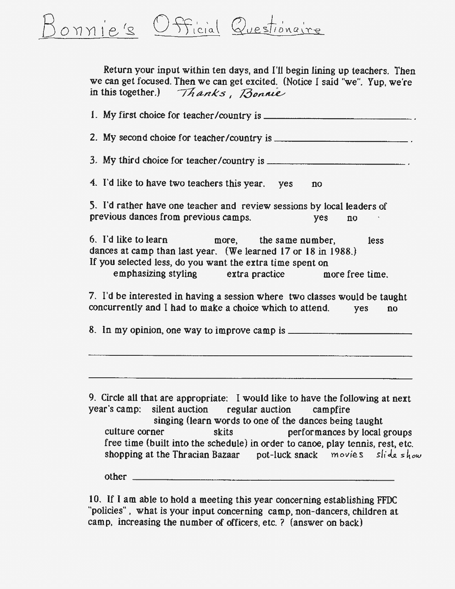Fficial Questionaire onnie's

> Return your input within ten days, and I'll begin lining up teachers. Then we can get focused. Then we can get excited. (Notice I said "we". Yup, we're in this together.) *Thanks, Bonnie*

1. My first choice for teacher /country is \_\_\_\_\_\_\_\_\_\_\_\_ \_ 2. My second choice for teacher /country is \_\_\_\_\_\_\_\_\_\_\_ \_ 3. My third choice for teacher/country is  $\frac{1}{2}$ 4. I'd like to have two teachers this year. yes no S. I'd rather have one teacher and review sessions by local leaders of previous dances from previous camps. yes no 6. I'd like to learn more, the same number, less dances at camp than last year. (We learned 17 or 18 in 1988.) If you selected less, do you want the extra time spent on emphasizing styling extra practice more free time. 7. I'd be interested in having a session where two classes would be taught concurrently and I had to make a choice which to attend. yes no 8. In my opinion. one way to improve camp is \_\_\_\_\_\_\_\_\_\_ \_ 9. Circle all that are appropriate: I would like to have the following at next year's camp: silent auction regular auction campfire singing (learn words to one of the dances being taught culture corner skits performances by local groups free time (built into the schedule) in order to canoe, play tennis, rest, etc. shopping at the Thracian Bazaar pot-luck snack movies slide show

other \_\_\_\_\_\_\_\_\_\_\_\_\_\_\_\_\_\_\_\_\_\_ \_

10. If I am able to hold a meeting this year concerning establishing FFDC "policies" , what is your input concerning camp, non-dancers, children at camp, increasing the number of officers, etc.? (answer on back)